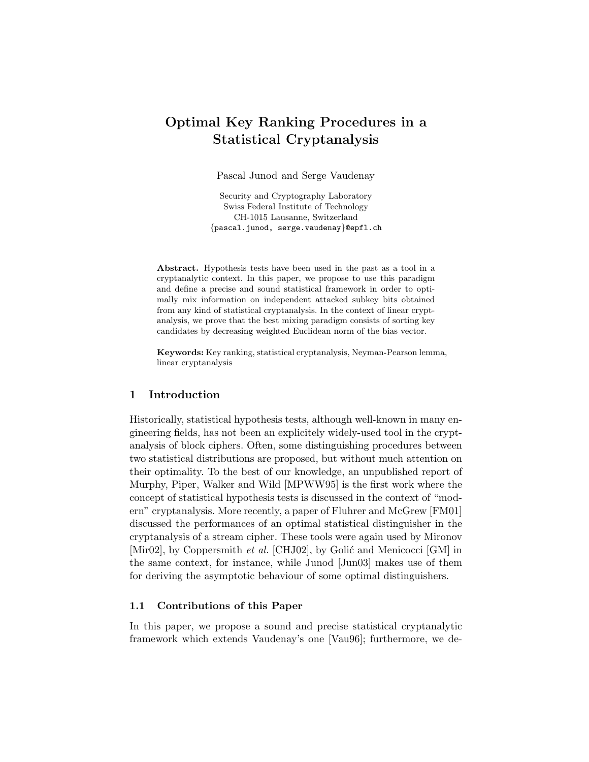# Optimal Key Ranking Procedures in a Statistical Cryptanalysis

Pascal Junod and Serge Vaudenay

Security and Cryptography Laboratory Swiss Federal Institute of Technology CH-1015 Lausanne, Switzerland {pascal.junod, serge.vaudenay}@epfl.ch

Abstract. Hypothesis tests have been used in the past as a tool in a cryptanalytic context. In this paper, we propose to use this paradigm and define a precise and sound statistical framework in order to optimally mix information on independent attacked subkey bits obtained from any kind of statistical cryptanalysis. In the context of linear cryptanalysis, we prove that the best mixing paradigm consists of sorting key candidates by decreasing weighted Euclidean norm of the bias vector.

Keywords: Key ranking, statistical cryptanalysis, Neyman-Pearson lemma, linear cryptanalysis

# 1 Introduction

Historically, statistical hypothesis tests, although well-known in many engineering fields, has not been an explicitely widely-used tool in the cryptanalysis of block ciphers. Often, some distinguishing procedures between two statistical distributions are proposed, but without much attention on their optimality. To the best of our knowledge, an unpublished report of Murphy, Piper, Walker and Wild [MPWW95] is the first work where the concept of statistical hypothesis tests is discussed in the context of "modern" cryptanalysis. More recently, a paper of Fluhrer and McGrew [FM01] discussed the performances of an optimal statistical distinguisher in the cryptanalysis of a stream cipher. These tools were again used by Mironov [Mir02], by Coppersmith *et al.* [CHJ02], by Golić and Menicocci [GM] in the same context, for instance, while Junod [Jun03] makes use of them for deriving the asymptotic behaviour of some optimal distinguishers.

### 1.1 Contributions of this Paper

In this paper, we propose a sound and precise statistical cryptanalytic framework which extends Vaudenay's one [Vau96]; furthermore, we de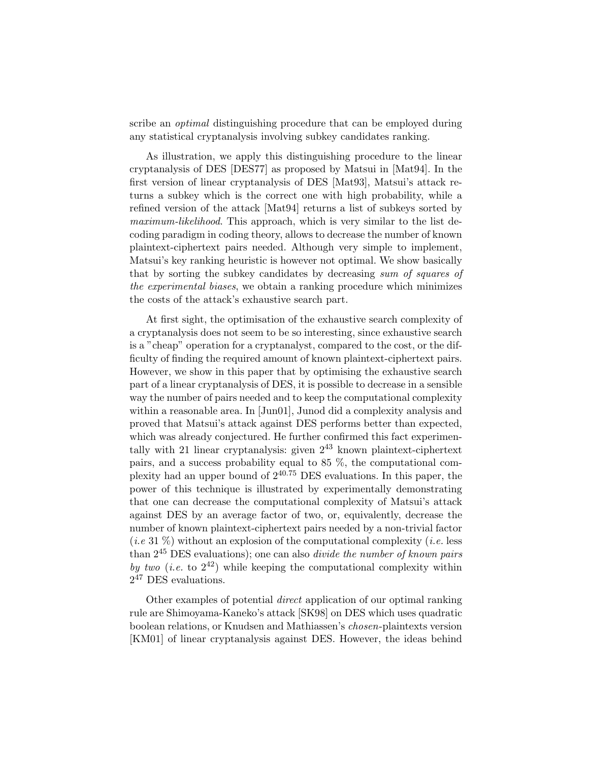scribe an optimal distinguishing procedure that can be employed during any statistical cryptanalysis involving subkey candidates ranking.

As illustration, we apply this distinguishing procedure to the linear cryptanalysis of DES [DES77] as proposed by Matsui in [Mat94]. In the first version of linear cryptanalysis of DES [Mat93], Matsui's attack returns a subkey which is the correct one with high probability, while a refined version of the attack [Mat94] returns a list of subkeys sorted by maximum-likelihood. This approach, which is very similar to the list decoding paradigm in coding theory, allows to decrease the number of known plaintext-ciphertext pairs needed. Although very simple to implement, Matsui's key ranking heuristic is however not optimal. We show basically that by sorting the subkey candidates by decreasing sum of squares of the experimental biases, we obtain a ranking procedure which minimizes the costs of the attack's exhaustive search part.

At first sight, the optimisation of the exhaustive search complexity of a cryptanalysis does not seem to be so interesting, since exhaustive search is a "cheap" operation for a cryptanalyst, compared to the cost, or the difficulty of finding the required amount of known plaintext-ciphertext pairs. However, we show in this paper that by optimising the exhaustive search part of a linear cryptanalysis of DES, it is possible to decrease in a sensible way the number of pairs needed and to keep the computational complexity within a reasonable area. In [Jun01], Junod did a complexity analysis and proved that Matsui's attack against DES performs better than expected, which was already conjectured. He further confirmed this fact experimentally with 21 linear cryptanalysis: given  $2^{43}$  known plaintext-ciphertext pairs, and a success probability equal to 85 %, the computational complexity had an upper bound of  $2^{40.75}$  DES evaluations. In this paper, the power of this technique is illustrated by experimentally demonstrating that one can decrease the computational complexity of Matsui's attack against DES by an average factor of two, or, equivalently, decrease the number of known plaintext-ciphertext pairs needed by a non-trivial factor (*i.e* 31  $\%$ ) without an explosion of the computational complexity (*i.e.* less than  $2^{45}$  DES evaluations); one can also *divide the number of known pairs* by two (*i.e.* to  $2^{42}$ ) while keeping the computational complexity within 2 <sup>47</sup> DES evaluations.

Other examples of potential direct application of our optimal ranking rule are Shimoyama-Kaneko's attack [SK98] on DES which uses quadratic boolean relations, or Knudsen and Mathiassen's chosen-plaintexts version [KM01] of linear cryptanalysis against DES. However, the ideas behind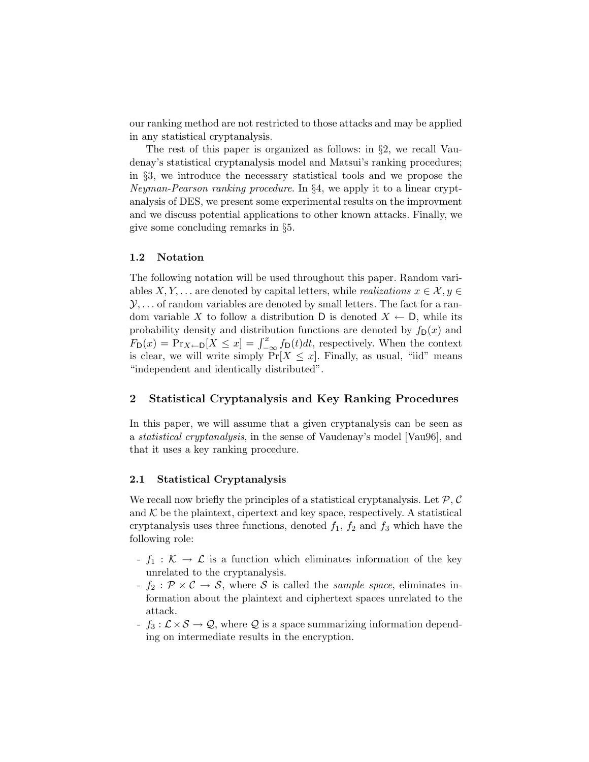our ranking method are not restricted to those attacks and may be applied in any statistical cryptanalysis.

The rest of this paper is organized as follows: in §2, we recall Vaudenay's statistical cryptanalysis model and Matsui's ranking procedures; in §3, we introduce the necessary statistical tools and we propose the Neyman-Pearson ranking procedure. In §4, we apply it to a linear cryptanalysis of DES, we present some experimental results on the improvment and we discuss potential applications to other known attacks. Finally, we give some concluding remarks in §5.

#### 1.2 Notation

The following notation will be used throughout this paper. Random variables X, Y, ... are denoted by capital letters, while *realizations*  $x \in \mathcal{X}, y \in$  $\mathcal{Y}, \ldots$  of random variables are denoted by small letters. The fact for a random variable X to follow a distribution D is denoted  $X \leftarrow D$ , while its probability density and distribution functions are denoted by  $f_D(x)$  and  $F_D(x) = Pr_{X \leftarrow D}[X \leq x] = \int_{-\infty}^x f_D(t)dt$ , respectively. When the context is clear, we will write simply  $Pr[X \leq x]$ . Finally, as usual, "iid" means "independent and identically distributed".

# 2 Statistical Cryptanalysis and Key Ranking Procedures

In this paper, we will assume that a given cryptanalysis can be seen as a statistical cryptanalysis, in the sense of Vaudenay's model [Vau96], and that it uses a key ranking procedure.

# 2.1 Statistical Cryptanalysis

We recall now briefly the principles of a statistical cryptanalysis. Let  $\mathcal{P}, \mathcal{C}$ and  $K$  be the plaintext, cipertext and key space, respectively. A statistical cryptanalysis uses three functions, denoted  $f_1$ ,  $f_2$  and  $f_3$  which have the following role:

- $-f_1 : \mathcal{K} \to \mathcal{L}$  is a function which eliminates information of the key unrelated to the cryptanalysis.
- $f_2$ :  $\mathcal{P} \times \mathcal{C} \rightarrow \mathcal{S}$ , where S is called the *sample space*, eliminates information about the plaintext and ciphertext spaces unrelated to the attack.
- $-f_3: \mathcal{L} \times \mathcal{S} \rightarrow \mathcal{Q}$ , where  $\mathcal Q$  is a space summarizing information depending on intermediate results in the encryption.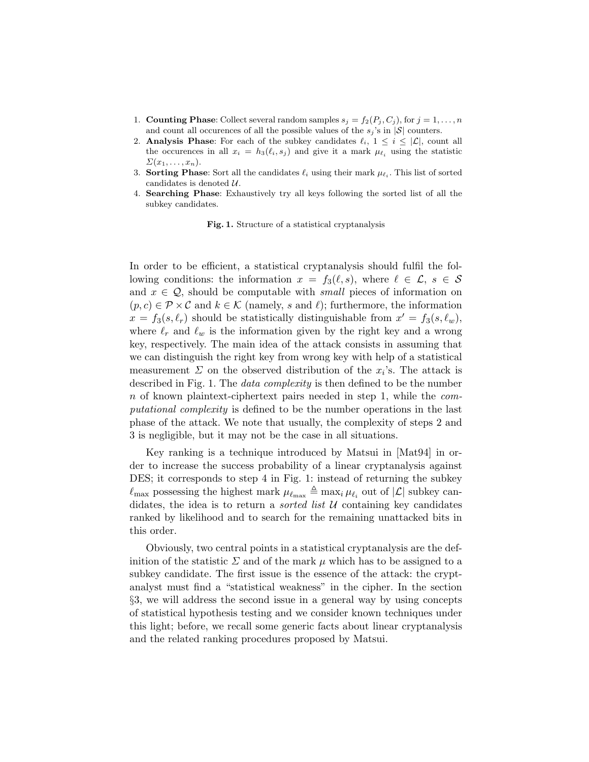- 1. **Counting Phase**: Collect several random samples  $s_j = f_2(P_j, C_j)$ , for  $j = 1, ..., n$ and count all occurences of all the possible values of the  $s_j$ 's in  $|S|$  counters.
- 2. Analysis Phase: For each of the subkey candidates  $\ell_i$ ,  $1 \leq i \leq |\mathcal{L}|$ , count all the occurences in all  $x_i = h_3(\ell_i, s_j)$  and give it a mark  $\mu_{\ell_i}$  using the statistic  $\Sigma(x_1,\ldots,x_n).$
- 3. Sorting Phase: Sort all the candidates  $\ell_i$  using their mark  $\mu_{\ell_i}$ . This list of sorted candidates is denoted  $\mathcal{U}$ .
- 4. Searching Phase: Exhaustively try all keys following the sorted list of all the subkey candidates.

Fig. 1. Structure of a statistical cryptanalysis

In order to be efficient, a statistical cryptanalysis should fulfil the following conditions: the information  $x = f_3(\ell, s)$ , where  $\ell \in \mathcal{L}, s \in \mathcal{S}$ and  $x \in \mathcal{Q}$ , should be computable with small pieces of information on  $(p, c) \in \mathcal{P} \times \mathcal{C}$  and  $k \in \mathcal{K}$  (namely, s and  $\ell$ ); furthermore, the information  $x = f_3(s, \ell_r)$  should be statistically distinguishable from  $x' = f_3(s, \ell_w)$ , where  $\ell_r$  and  $\ell_w$  is the information given by the right key and a wrong key, respectively. The main idea of the attack consists in assuming that we can distinguish the right key from wrong key with help of a statistical measurement  $\Sigma$  on the observed distribution of the  $x_i$ 's. The attack is described in Fig. 1. The data complexity is then defined to be the number  $n$  of known plaintext-ciphertext pairs needed in step 1, while the *com*putational complexity is defined to be the number operations in the last phase of the attack. We note that usually, the complexity of steps 2 and 3 is negligible, but it may not be the case in all situations.

Key ranking is a technique introduced by Matsui in [Mat94] in order to increase the success probability of a linear cryptanalysis against DES; it corresponds to step 4 in Fig. 1: instead of returning the subkey  $\ell_{\max}$  possessing the highest mark  $\mu_{\ell_{\max}} \triangleq \max_i \mu_{\ell_i}$  out of  $|\mathcal{L}|$  subkey candidates, the idea is to return a *sorted list*  $U$  containing key candidates ranked by likelihood and to search for the remaining unattacked bits in this order.

Obviously, two central points in a statistical cryptanalysis are the definition of the statistic  $\Sigma$  and of the mark  $\mu$  which has to be assigned to a subkey candidate. The first issue is the essence of the attack: the cryptanalyst must find a "statistical weakness" in the cipher. In the section §3, we will address the second issue in a general way by using concepts of statistical hypothesis testing and we consider known techniques under this light; before, we recall some generic facts about linear cryptanalysis and the related ranking procedures proposed by Matsui.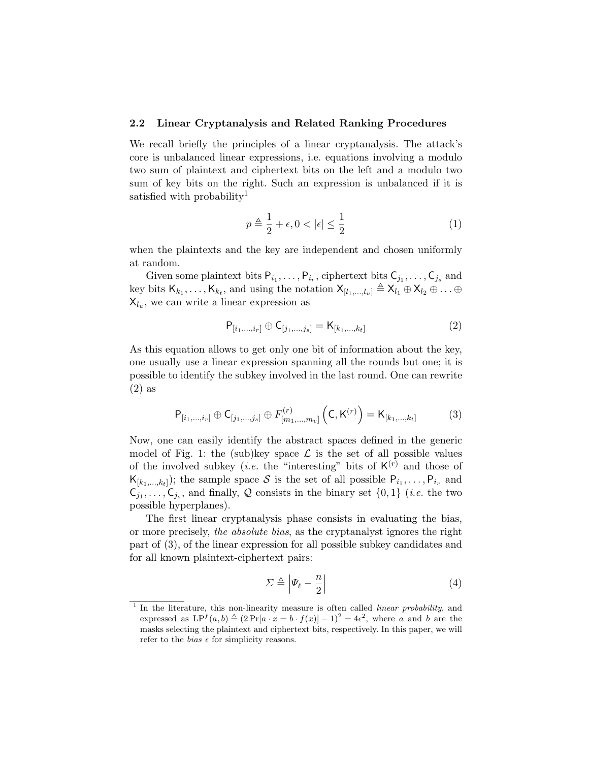#### 2.2 Linear Cryptanalysis and Related Ranking Procedures

We recall briefly the principles of a linear cryptanalysis. The attack's core is unbalanced linear expressions, i.e. equations involving a modulo two sum of plaintext and ciphertext bits on the left and a modulo two sum of key bits on the right. Such an expression is unbalanced if it is satisfied with probability<sup>1</sup>

$$
p \triangleq \frac{1}{2} + \epsilon, 0 < |\epsilon| \leq \frac{1}{2} \tag{1}
$$

when the plaintexts and the key are independent and chosen uniformly at random.

Given some plaintext bits  $P_{i_1}, \ldots, P_{i_r}$ , ciphertext bits  $C_{j_1}, \ldots, C_{j_s}$  and key bits  $\mathsf{K}_{k_1},\ldots,\mathsf{K}_{k_t}$ , and using the notation  $\mathsf{X}_{[l_1,\ldots,l_u]} \triangleq \mathsf{X}_{l_1} \oplus \mathsf{X}_{l_2} \oplus \ldots \oplus$  $X_{l_u}$ , we can write a linear expression as

$$
\mathsf{P}_{[i_1,\dots,i_r]} \oplus \mathsf{C}_{[j_1,\dots,j_s]} = \mathsf{K}_{[k_1,\dots,k_t]} \tag{2}
$$

As this equation allows to get only one bit of information about the key, one usually use a linear expression spanning all the rounds but one; it is possible to identify the subkey involved in the last round. One can rewrite (2) as

$$
P_{[i_1,\ldots,i_r]} \oplus C_{[j_1,\ldots,j_s]} \oplus F_{[m_1,\ldots,m_v]}^{(r)} \left( C, K^{(r)} \right) = K_{[k_1,\ldots,k_t]} \tag{3}
$$

Now, one can easily identify the abstract spaces defined in the generic model of Fig. 1: the (sub)key space  $\mathcal L$  is the set of all possible values of the involved subkey (*i.e.* the "interesting" bits of  $K^{(r)}$  and those of  $\mathsf{K}_{[k_1,\ldots,k_t]}$ ; the sample space S is the set of all possible  $\mathsf{P}_{i_1},\ldots,\mathsf{P}_{i_r}$  and  $\mathsf{C}_{j_1}, \ldots, \mathsf{C}_{j_s}$ , and finally,  $\mathcal Q$  consists in the binary set  $\{0,1\}$  (*i.e.* the two possible hyperplanes).

The first linear cryptanalysis phase consists in evaluating the bias, or more precisely, the absolute bias, as the cryptanalyst ignores the right part of (3), of the linear expression for all possible subkey candidates and for all known plaintext-ciphertext pairs:

$$
\Sigma \triangleq \left| \Psi_{\ell} - \frac{n}{2} \right| \tag{4}
$$

<sup>1</sup> In the literature, this non-linearity measure is often called linear probability, and expressed as  $LP^{f}(a, b) \triangleq (2 \Pr[a \cdot x = b \cdot f(x)] - 1)^2 = 4\epsilon^2$ , where a and b are the masks selecting the plaintext and ciphertext bits, respectively. In this paper, we will refer to the *bias*  $\epsilon$  for simplicity reasons.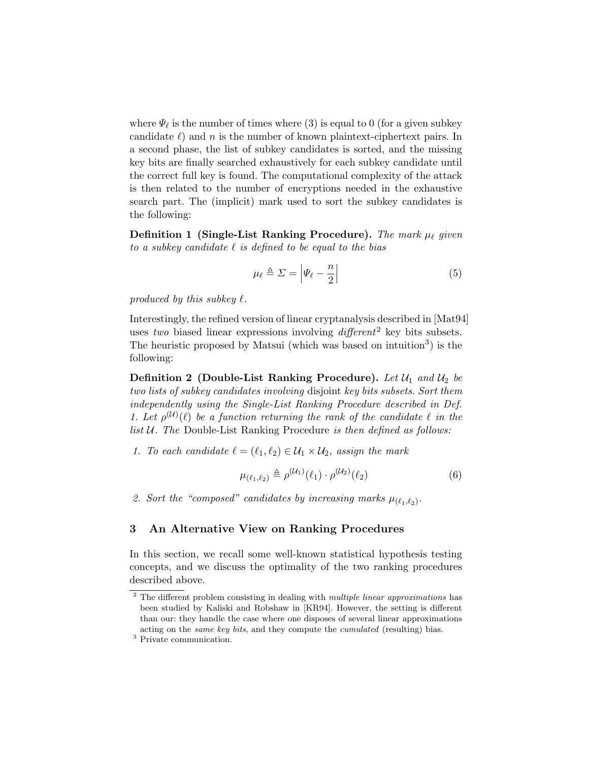where  $\Psi_{\ell}$  is the number of times where (3) is equal to 0 (for a given subkey candidate  $\ell$ ) and n is the number of known plaintext-ciphertext pairs. In a second phase, the list of subkey candidates is sorted, and the missing key bits are finally searched exhaustively for each subkey candidate until the correct full key is found. The computational complexity of the attack is then related to the number of encryptions needed in the exhaustive search part. The (implicit) mark used to sort the subkey candidates is the following:

Definition 1 (Single-List Ranking Procedure). The mark  $\mu_{\ell}$  given to a subkey candidate  $\ell$  is defined to be equal to the bias

$$
\mu_{\ell} \triangleq \Sigma = \left| \Psi_{\ell} - \frac{n}{2} \right| \tag{5}
$$

produced by this subkey  $\ell$ .

Interestingly, the refined version of linear cryptanalysis described in [Mat94] uses two biased linear expressions involving  $differential$  key bits subsets. The heuristic proposed by Matsui (which was based on intuition<sup>3</sup>) is the following:

Definition 2 (Double-List Ranking Procedure). Let  $\mathcal{U}_1$  and  $\mathcal{U}_2$  be two lists of subkey candidates involving disjoint key bits subsets. Sort them independently using the Single-List Ranking Procedure described in Def. 1. Let  $\rho^{(\mathcal{U})}(\ell)$  be a function returning the rank of the candidate  $\ell$  in the list  $U$ . The Double-List Ranking Procedure is then defined as follows:

1. To each candidate  $\ell = (\ell_1, \ell_2) \in \mathcal{U}_1 \times \mathcal{U}_2$ , assign the mark

$$
\mu_{(\ell_1,\ell_2)} \triangleq \rho^{(\mathcal{U}_1)}(\ell_1) \cdot \rho^{(\mathcal{U}_2)}(\ell_2) \tag{6}
$$

2. Sort the "composed" candidates by increasing marks  $\mu_{(\ell_1,\ell_2)}$ .

# 3 An Alternative View on Ranking Procedures

In this section, we recall some well-known statistical hypothesis testing concepts, and we discuss the optimality of the two ranking procedures described above.

<sup>&</sup>lt;sup>2</sup> The different problem consisting in dealing with *multiple linear approximations* has been studied by Kaliski and Robshaw in [KR94]. However, the setting is different than our: they handle the case where one disposes of several linear approximations acting on the same key bits, and they compute the cumulated (resulting) bias.

<sup>3</sup> Private communication.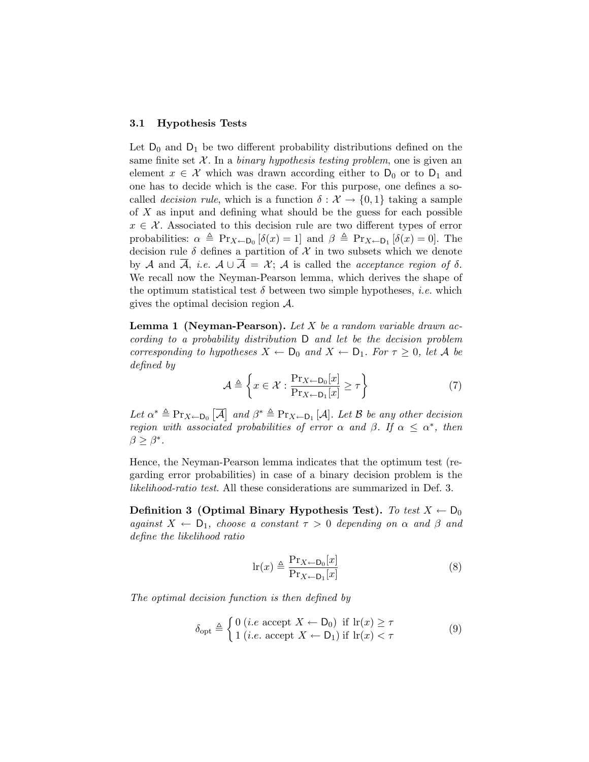#### 3.1 Hypothesis Tests

Let  $D_0$  and  $D_1$  be two different probability distributions defined on the same finite set  $\mathcal{X}$ . In a binary hypothesis testing problem, one is given an element  $x \in \mathcal{X}$  which was drawn according either to  $D_0$  or to  $D_1$  and one has to decide which is the case. For this purpose, one defines a socalled *decision rule*, which is a function  $\delta : \mathcal{X} \to \{0,1\}$  taking a sample of  $X$  as input and defining what should be the guess for each possible  $x \in \mathcal{X}$ . Associated to this decision rule are two different types of error probabilities:  $\alpha \triangleq \Pr_{X \leftarrow \mathsf{D}_0} [\delta(x) = 1]$  and  $\beta \triangleq \Pr_{X \leftarrow \mathsf{D}_1} [\delta(x) = 0]$ . The decision rule  $\delta$  defines a partition of  $\mathcal X$  in two subsets which we denote by A and  $\overline{A}$ , *i.e.*  $A \cup \overline{A} = X$ ; A is called the *acceptance region of*  $\delta$ *.* We recall now the Neyman-Pearson lemma, which derives the shape of the optimum statistical test  $\delta$  between two simple hypotheses, *i.e.* which gives the optimal decision region  $\mathcal{A}$ .

**Lemma 1 (Neyman-Pearson).** Let  $X$  be a random variable drawn according to a probability distribution D and let be the decision problem corresponding to hypotheses  $X \leftarrow D_0$  and  $X \leftarrow D_1$ . For  $\tau \geq 0$ , let A be defined by

$$
\mathcal{A} \triangleq \left\{ x \in \mathcal{X} : \frac{\Pr_{X \leftarrow \mathsf{D}_0}[x]}{\Pr_{X \leftarrow \mathsf{D}_1}[x]} \ge \tau \right\} \tag{7}
$$

Let  $\alpha^* \triangleq \Pr_{X \leftarrow \mathsf{D}_0} [\overline{\mathcal{A}}]$  and  $\beta^* \triangleq \Pr_{X \leftarrow \mathsf{D}_1} [\mathcal{A}]$ . Let  $\mathcal B$  be any other decision region with associated probabilities of error  $\alpha$  and  $\beta$ . If  $\alpha \leq \alpha^*$ , then  $\beta \geq \beta^*$ .

Hence, the Neyman-Pearson lemma indicates that the optimum test (regarding error probabilities) in case of a binary decision problem is the likelihood-ratio test. All these considerations are summarized in Def. 3.

Definition 3 (Optimal Binary Hypothesis Test). To test  $X \leftarrow D_0$ against  $X \leftarrow D_1$ , choose a constant  $\tau > 0$  depending on  $\alpha$  and  $\beta$  and define the likelihood ratio

$$
\ln(x) \triangleq \frac{\Pr_{X \leftarrow \text{D}_0}[x]}{\Pr_{X \leftarrow \text{D}_1}[x]} \tag{8}
$$

The optimal decision function is then defined by

$$
\delta_{\text{opt}} \triangleq \begin{cases} 0 \ (i.e \ \text{accept } X \leftarrow D_0) \ \text{if} \ \text{lr}(x) \ge \tau \\ 1 \ (i.e. \ \text{accept } X \leftarrow D_1) \ \text{if} \ \text{lr}(x) < \tau \end{cases} \tag{9}
$$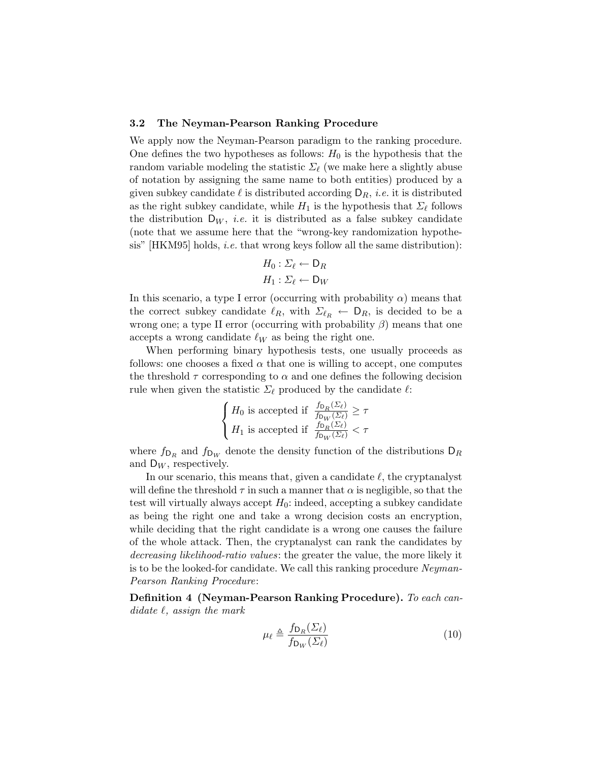#### 3.2 The Neyman-Pearson Ranking Procedure

We apply now the Neyman-Pearson paradigm to the ranking procedure. One defines the two hypotheses as follows:  $H_0$  is the hypothesis that the random variable modeling the statistic  $\Sigma_{\ell}$  (we make here a slightly abuse of notation by assigning the same name to both entities) produced by a given subkey candidate  $\ell$  is distributed according  $D_R$ , *i.e.* it is distributed as the right subkey candidate, while  $H_1$  is the hypothesis that  $\Sigma_{\ell}$  follows the distribution  $D_W$ , *i.e.* it is distributed as a false subkey candidate (note that we assume here that the "wrong-key randomization hypothesis" [HKM95] holds, i.e. that wrong keys follow all the same distribution):

$$
H_0: \Sigma_{\ell} \leftarrow \mathsf{D}_R
$$

$$
H_1: \Sigma_{\ell} \leftarrow \mathsf{D}_W
$$

In this scenario, a type I error (occurring with probability  $\alpha$ ) means that the correct subkey candidate  $\ell_R$ , with  $\Sigma_{\ell_R} \leftarrow \mathsf{D}_R$ , is decided to be a wrong one; a type II error (occurring with probability  $\beta$ ) means that one accepts a wrong candidate  $\ell_W$  as being the right one.

When performing binary hypothesis tests, one usually proceeds as follows: one chooses a fixed  $\alpha$  that one is willing to accept, one computes the threshold  $\tau$  corresponding to  $\alpha$  and one defines the following decision rule when given the statistic  $\Sigma_{\ell}$  produced by the candidate  $\ell$ :

$$
\begin{cases} H_0 \text{ is accepted if } \frac{f_{\text{D}_R}(\Sigma_\ell)}{f_{\text{D}_W}(\Sigma_\ell)} \ge \tau \\ H_1 \text{ is accepted if } \frac{f_{\text{D}_R}(\Sigma_\ell)}{f_{\text{D}_W}(\Sigma_\ell)} < \tau \end{cases}
$$

where  $f_{\mathsf{D}_R}$  and  $f_{\mathsf{D}_W}$  denote the density function of the distributions  $\mathsf{D}_R$ and  $D_W$ , respectively.

In our scenario, this means that, given a candidate  $\ell$ , the cryptanalyst will define the threshold  $\tau$  in such a manner that  $\alpha$  is negligible, so that the test will virtually always accept  $H_0$ : indeed, accepting a subkey candidate as being the right one and take a wrong decision costs an encryption, while deciding that the right candidate is a wrong one causes the failure of the whole attack. Then, the cryptanalyst can rank the candidates by decreasing likelihood-ratio values: the greater the value, the more likely it is to be the looked-for candidate. We call this ranking procedure Neyman-Pearson Ranking Procedure:

Definition 4 (Neyman-Pearson Ranking Procedure). To each candidate  $\ell$ , assign the mark

$$
\mu_{\ell} \triangleq \frac{f_{\mathsf{D}_R}(\Sigma_{\ell})}{f_{\mathsf{D}_W}(\Sigma_{\ell})} \tag{10}
$$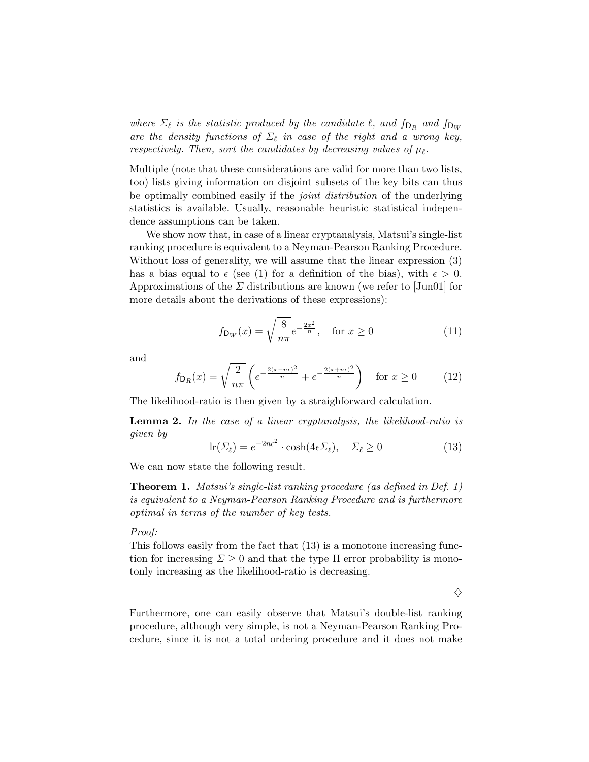where  $\Sigma_{\ell}$  is the statistic produced by the candidate  $\ell$ , and  $f_{\mathsf{D}_R}$  and  $f_{\mathsf{D}_W}$ are the density functions of  $\Sigma_{\ell}$  in case of the right and a wrong key, respectively. Then, sort the candidates by decreasing values of  $\mu_{\ell}$ .

Multiple (note that these considerations are valid for more than two lists, too) lists giving information on disjoint subsets of the key bits can thus be optimally combined easily if the joint distribution of the underlying statistics is available. Usually, reasonable heuristic statistical independence assumptions can be taken.

We show now that, in case of a linear cryptanalysis, Matsui's single-list ranking procedure is equivalent to a Neyman-Pearson Ranking Procedure. Without loss of generality, we will assume that the linear expression (3) has a bias equal to  $\epsilon$  (see (1) for a definition of the bias), with  $\epsilon > 0$ . Approximations of the  $\Sigma$  distributions are known (we refer to [Jun01] for more details about the derivations of these expressions):

$$
f_{\mathsf{D}_W}(x) = \sqrt{\frac{8}{n\pi}}e^{-\frac{2x^2}{n}}, \quad \text{for } x \ge 0 \tag{11}
$$

and

$$
f_{\mathsf{D}_R}(x) = \sqrt{\frac{2}{n\pi}} \left( e^{-\frac{2(x - n\epsilon)^2}{n}} + e^{-\frac{2(x + n\epsilon)^2}{n}} \right) \quad \text{for } x \ge 0 \tag{12}
$$

The likelihood-ratio is then given by a straighforward calculation.

Lemma 2. In the case of a linear cryptanalysis, the likelihood-ratio is given by

$$
\ln(\Sigma_{\ell}) = e^{-2n\epsilon^2} \cdot \cosh(4\epsilon \Sigma_{\ell}), \quad \Sigma_{\ell} \ge 0 \tag{13}
$$

We can now state the following result.

Theorem 1. Matsui's single-list ranking procedure (as defined in Def. 1) is equivalent to a Neyman-Pearson Ranking Procedure and is furthermore optimal in terms of the number of key tests.

#### Proof:

This follows easily from the fact that (13) is a monotone increasing function for increasing  $\Sigma \geq 0$  and that the type II error probability is monotonly increasing as the likelihood-ratio is decreasing.

 $\diamondsuit$ 

Furthermore, one can easily observe that Matsui's double-list ranking procedure, although very simple, is not a Neyman-Pearson Ranking Procedure, since it is not a total ordering procedure and it does not make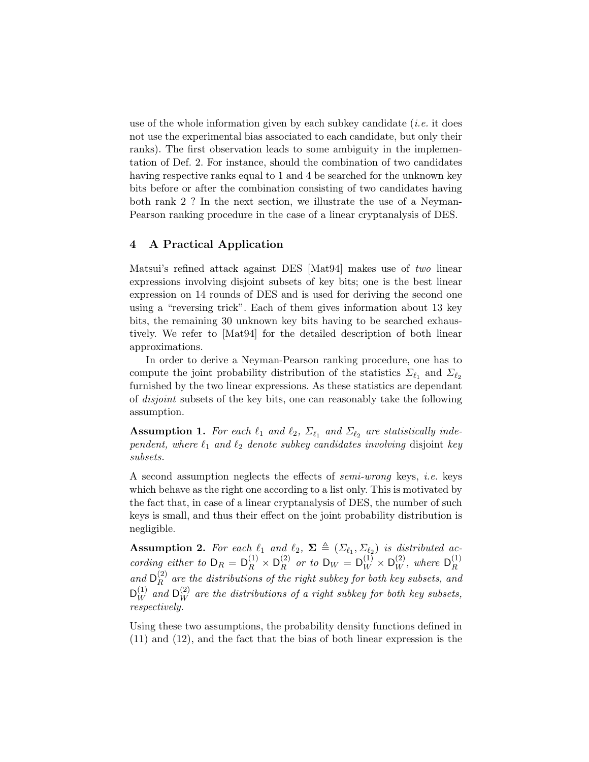use of the whole information given by each subkey candidate  $(i.e.$  it does not use the experimental bias associated to each candidate, but only their ranks). The first observation leads to some ambiguity in the implementation of Def. 2. For instance, should the combination of two candidates having respective ranks equal to 1 and 4 be searched for the unknown key bits before or after the combination consisting of two candidates having both rank 2 ? In the next section, we illustrate the use of a Neyman-Pearson ranking procedure in the case of a linear cryptanalysis of DES.

# 4 A Practical Application

Matsui's refined attack against DES [Mat94] makes use of two linear expressions involving disjoint subsets of key bits; one is the best linear expression on 14 rounds of DES and is used for deriving the second one using a "reversing trick". Each of them gives information about 13 key bits, the remaining 30 unknown key bits having to be searched exhaustively. We refer to [Mat94] for the detailed description of both linear approximations.

In order to derive a Neyman-Pearson ranking procedure, one has to compute the joint probability distribution of the statistics  $\Sigma_{\ell_1}$  and  $\Sigma_{\ell_2}$ furnished by the two linear expressions. As these statistics are dependant of disjoint subsets of the key bits, one can reasonably take the following assumption.

**Assumption 1.** For each  $\ell_1$  and  $\ell_2$ ,  $\Sigma_{\ell_1}$  and  $\Sigma_{\ell_2}$  are statistically independent, where  $\ell_1$  and  $\ell_2$  denote subkey candidates involving disjoint key subsets.

A second assumption neglects the effects of semi-wrong keys, i.e. keys which behave as the right one according to a list only. This is motivated by the fact that, in case of a linear cryptanalysis of DES, the number of such keys is small, and thus their effect on the joint probability distribution is negligible.

**Assumption 2.** For each  $\ell_1$  and  $\ell_2$ ,  $\Sigma \triangleq (\Sigma_{\ell_1}, \Sigma_{\ell_2})$  is distributed according either to  $D_R = D_R^{(1)} \times D_R^{(2)}$  $R_R^{(2)}$  or to  $D_W = D_W^{(1)} \times D_W^{(2)}$ , where  $D_R^{(1)}$ R and  $\mathsf{D}_R^{(2)}$  $R^{(2)}$  are the distributions of the right subkey for both key subsets, and  $\mathsf{D}_W^{(1)}$  and  $\mathsf{D}_W^{(2)}$  are the distributions of a right subkey for both key subsets, respectively.

Using these two assumptions, the probability density functions defined in (11) and (12), and the fact that the bias of both linear expression is the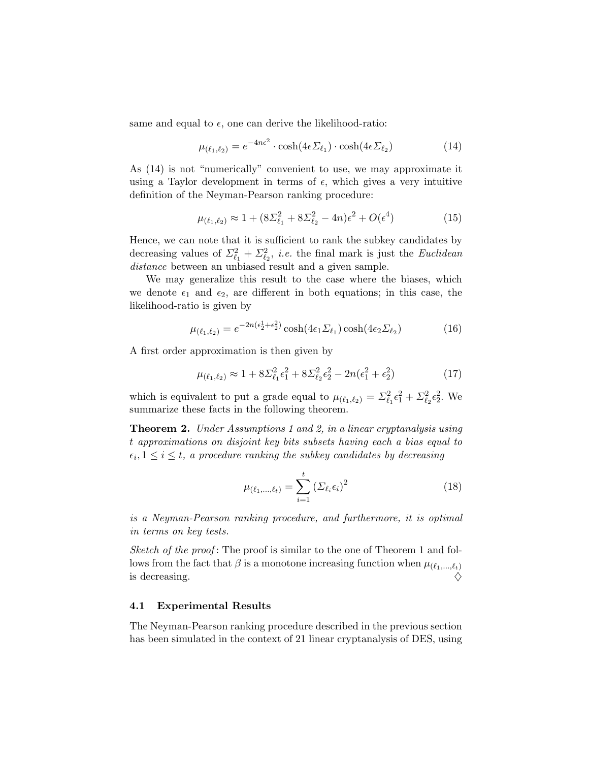same and equal to  $\epsilon$ , one can derive the likelihood-ratio:

$$
\mu_{(\ell_1,\ell_2)} = e^{-4n\epsilon^2} \cdot \cosh(4\epsilon \Sigma_{\ell_1}) \cdot \cosh(4\epsilon \Sigma_{\ell_2}) \tag{14}
$$

As (14) is not "numerically" convenient to use, we may approximate it using a Taylor development in terms of  $\epsilon$ , which gives a very intuitive definition of the Neyman-Pearson ranking procedure:

$$
\mu_{(\ell_1,\ell_2)} \approx 1 + (8\Sigma_{\ell_1}^2 + 8\Sigma_{\ell_2}^2 - 4n)\epsilon^2 + O(\epsilon^4)
$$
\n(15)

Hence, we can note that it is sufficient to rank the subkey candidates by decreasing values of  $\Sigma_{\ell_1}^2 + \Sigma_{\ell_2}^2$ , *i.e.* the final mark is just the *Euclidean* distance between an unbiased result and a given sample.

We may generalize this result to the case where the biases, which we denote  $\epsilon_1$  and  $\epsilon_2$ , are different in both equations; in this case, the likelihood-ratio is given by

$$
\mu_{(\ell_1,\ell_2)} = e^{-2n(\epsilon_2^1 + \epsilon_2^2)} \cosh(4\epsilon_1 \Sigma_{\ell_1}) \cosh(4\epsilon_2 \Sigma_{\ell_2}) \tag{16}
$$

A first order approximation is then given by

$$
\mu_{(\ell_1,\ell_2)} \approx 1 + 8\Sigma_{\ell_1}^2 \epsilon_1^2 + 8\Sigma_{\ell_2}^2 \epsilon_2^2 - 2n(\epsilon_1^2 + \epsilon_2^2)
$$
\n(17)

which is equivalent to put a grade equal to  $\mu_{(\ell_1,\ell_2)} = \sum_{\ell_1}^2 \epsilon_1^2 + \sum_{\ell_2}^2 \epsilon_2^2$ . We summarize these facts in the following theorem.

Theorem 2. Under Assumptions 1 and 2, in a linear cryptanalysis using t approximations on disjoint key bits subsets having each a bias equal to  $\epsilon_i, 1 \leq i \leq t$ , a procedure ranking the subkey candidates by decreasing

$$
\mu_{(\ell_1,\ldots,\ell_t)} = \sum_{i=1}^t \left( \Sigma_{\ell_i} \epsilon_i \right)^2 \tag{18}
$$

is a Neyman-Pearson ranking procedure, and furthermore, it is optimal in terms on key tests.

Sketch of the proof: The proof is similar to the one of Theorem 1 and follows from the fact that  $\beta$  is a monotone increasing function when  $\mu_{(\ell_1,\ldots,\ell_t)}$ is decreasing.

#### 4.1 Experimental Results

The Neyman-Pearson ranking procedure described in the previous section has been simulated in the context of 21 linear cryptanalysis of DES, using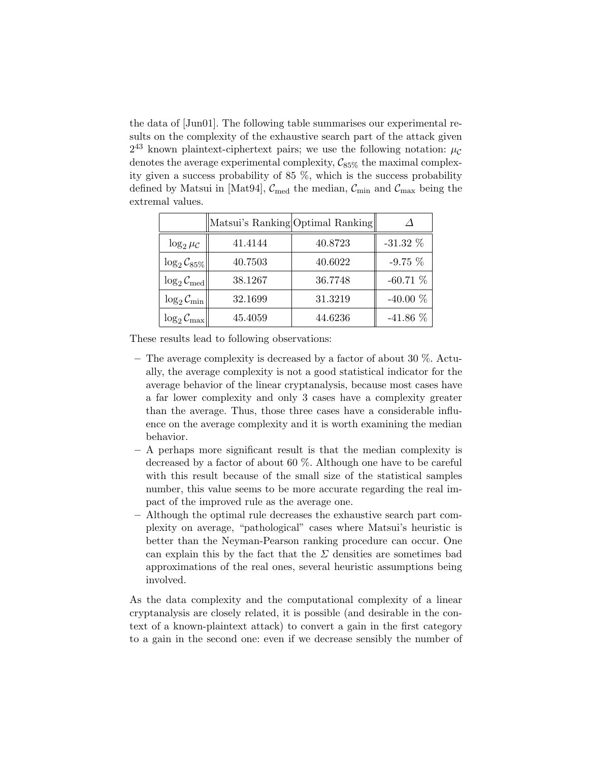the data of [Jun01]. The following table summarises our experimental results on the complexity of the exhaustive search part of the attack given  $2^{43}$  known plaintext-ciphertext pairs; we use the following notation:  $\mu_{\mathcal{C}}$ denotes the average experimental complexity,  $\mathcal{C}_{85\%}$  the maximal complexity given a success probability of 85 %, which is the success probability defined by Matsui in [Mat94],  $\mathcal{C}_{\text{med}}$  the median,  $\mathcal{C}_{\text{min}}$  and  $\mathcal{C}_{\text{max}}$  being the extremal values.

|                                   | Matsui's Ranking Optimal Ranking |         |            |
|-----------------------------------|----------------------------------|---------|------------|
| $\log_2 \mu_C$                    | 41.4144                          | 40.8723 | $-31.32\%$ |
| $\log_2 \mathcal{C}_{85\%}$       | 40.7503                          | 40.6022 | $-9.75\%$  |
| $\log_2 \mathcal{C}_{\text{med}}$ | 38.1267                          | 36.7748 | $-60.71%$  |
| $\log_2 \mathcal{C}_{\text{min}}$ | 32.1699                          | 31.3219 | $-40.00\%$ |
| $\log_2 \mathcal{C}_{\text{max}}$ | 45.4059                          | 44.6236 | $-41.86\%$ |

These results lead to following observations:

- The average complexity is decreased by a factor of about 30 %. Actually, the average complexity is not a good statistical indicator for the average behavior of the linear cryptanalysis, because most cases have a far lower complexity and only 3 cases have a complexity greater than the average. Thus, those three cases have a considerable influence on the average complexity and it is worth examining the median behavior.
- A perhaps more significant result is that the median complexity is decreased by a factor of about 60 %. Although one have to be careful with this result because of the small size of the statistical samples number, this value seems to be more accurate regarding the real impact of the improved rule as the average one.
- Although the optimal rule decreases the exhaustive search part complexity on average, "pathological" cases where Matsui's heuristic is better than the Neyman-Pearson ranking procedure can occur. One can explain this by the fact that the  $\Sigma$  densities are sometimes bad approximations of the real ones, several heuristic assumptions being involved.

As the data complexity and the computational complexity of a linear cryptanalysis are closely related, it is possible (and desirable in the context of a known-plaintext attack) to convert a gain in the first category to a gain in the second one: even if we decrease sensibly the number of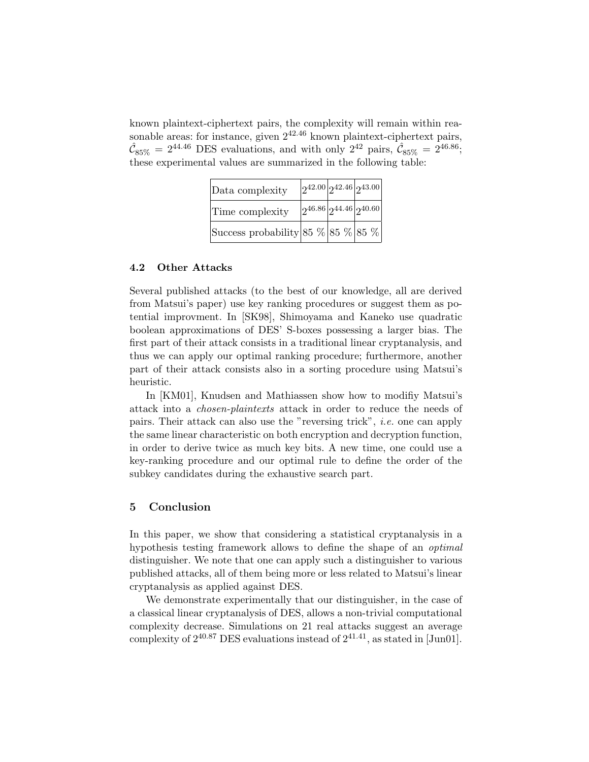known plaintext-ciphertext pairs, the complexity will remain within reasonable areas: for instance, given  $2^{42.46}$  known plaintext-ciphertext pairs,  $\hat{\mathcal{C}}_{85\%} = 2^{44.46}$  DES evaluations, and with only  $2^{42}$  pairs,  $\hat{\mathcal{C}}_{85\%} = 2^{46.86}$ ; these experimental values are summarized in the following table:

| Data complexity                    | $ 2^{42.00} 2^{42.46} 2^{43.00} $ |  |
|------------------------------------|-----------------------------------|--|
| Time complexity                    | $ 2^{46.86} 2^{44.46} 2^{40.60} $ |  |
| Success probability 85 % 85 % 85 % |                                   |  |

## 4.2 Other Attacks

Several published attacks (to the best of our knowledge, all are derived from Matsui's paper) use key ranking procedures or suggest them as potential improvment. In [SK98], Shimoyama and Kaneko use quadratic boolean approximations of DES' S-boxes possessing a larger bias. The first part of their attack consists in a traditional linear cryptanalysis, and thus we can apply our optimal ranking procedure; furthermore, another part of their attack consists also in a sorting procedure using Matsui's heuristic.

In [KM01], Knudsen and Mathiassen show how to modifiy Matsui's attack into a chosen-plaintexts attack in order to reduce the needs of pairs. Their attack can also use the "reversing trick", i.e. one can apply the same linear characteristic on both encryption and decryption function, in order to derive twice as much key bits. A new time, one could use a key-ranking procedure and our optimal rule to define the order of the subkey candidates during the exhaustive search part.

# 5 Conclusion

In this paper, we show that considering a statistical cryptanalysis in a hypothesis testing framework allows to define the shape of an optimal distinguisher. We note that one can apply such a distinguisher to various published attacks, all of them being more or less related to Matsui's linear cryptanalysis as applied against DES.

We demonstrate experimentally that our distinguisher, in the case of a classical linear cryptanalysis of DES, allows a non-trivial computational complexity decrease. Simulations on 21 real attacks suggest an average complexity of  $2^{40.87}$  DES evaluations instead of  $2^{41.41}$ , as stated in [Jun01].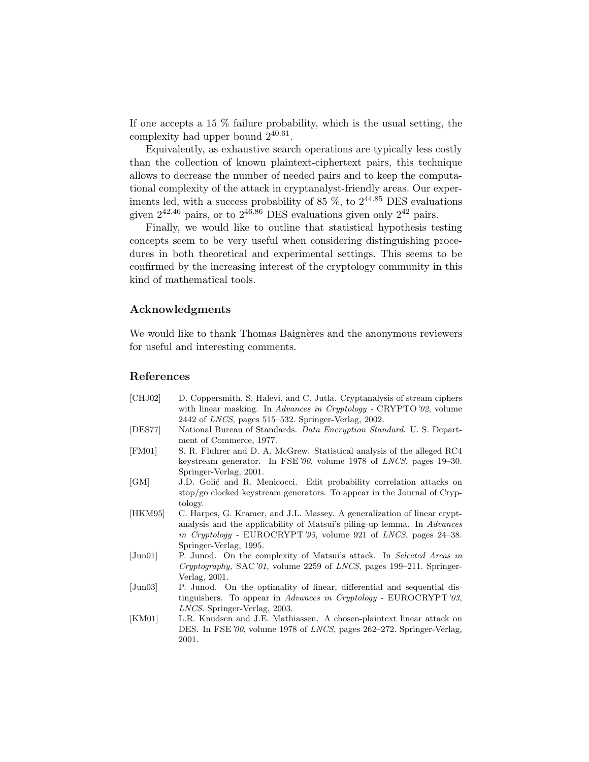If one accepts a 15 % failure probability, which is the usual setting, the complexity had upper bound  $2^{40.61}$ .

Equivalently, as exhaustive search operations are typically less costly than the collection of known plaintext-ciphertext pairs, this technique allows to decrease the number of needed pairs and to keep the computational complexity of the attack in cryptanalyst-friendly areas. Our experiments led, with a success probability of 85  $\%$ , to  $2^{44.85}$  DES evaluations given  $2^{42.46}$  pairs, or to  $2^{46.86}$  DES evaluations given only  $2^{42}$  pairs.

Finally, we would like to outline that statistical hypothesis testing concepts seem to be very useful when considering distinguishing procedures in both theoretical and experimental settings. This seems to be confirmed by the increasing interest of the cryptology community in this kind of mathematical tools.

## Acknowledgments

We would like to thank Thomas Baignères and the anonymous reviewers for useful and interesting comments.

## References

| [CHJ02] | D. Coppersmith, S. Halevi, and C. Jutla. Cryptanalysis of stream ciphers      |
|---------|-------------------------------------------------------------------------------|
|         | with linear masking. In Advances in Cryptology - CRYPTO $\partial 2$ , volume |
|         | 2442 of <i>LNCS</i> , pages $515-532$ . Springer-Verlag, 2002.                |

- [DES77] National Bureau of Standards. Data Encryption Standard. U. S. Department of Commerce, 1977.
- [FM01] S. R. Fluhrer and D. A. McGrew. Statistical analysis of the alleged RC4 keystream generator. In FSE'00, volume 1978 of LNCS, pages 19–30. Springer-Verlag, 2001.
- [GM] J.D. Golić and R. Menicocci. Edit probability correlation attacks on stop/go clocked keystream generators. To appear in the Journal of Cryptology.
- [HKM95] C. Harpes, G. Kramer, and J.L. Massey. A generalization of linear cryptanalysis and the applicability of Matsui's piling-up lemma. In Advances in Cryptology - EUROCRYPT'95, volume 921 of LNCS, pages 24–38. Springer-Verlag, 1995.
- [Jun01] P. Junod. On the complexity of Matsui's attack. In Selected Areas in Cryptography, SAC'01, volume 2259 of LNCS, pages 199–211. Springer-Verlag, 2001.
- [Jun03] P. Junod. On the optimality of linear, differential and sequential distinguishers. To appear in Advances in Cryptology - EUROCRYPT'03, LNCS. Springer-Verlag, 2003.
- [KM01] L.R. Knudsen and J.E. Mathiassen. A chosen-plaintext linear attack on DES. In FSE'00, volume 1978 of LNCS, pages 262-272. Springer-Verlag, 2001.